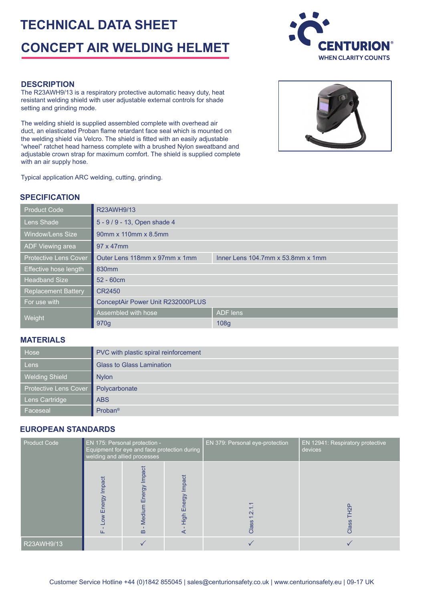# **TECHNICAL DATA SHEET CONCEPT AIR WELDING HELMET**



#### **DESCRIPTION**

The R23AWH9/13 is a respiratory protective automatic heavy duty, heat resistant welding shield with user adjustable external controls for shade setting and grinding mode.

The welding shield is supplied assembled complete with overhead air duct, an elasticated Proban flame retardant face seal which is mounted on the welding shield via Velcro. The shield is fitted with an easily adjustable "wheel" ratchet head harness complete with a brushed Nylon sweatband and adjustable crown strap for maximum comfort. The shield is supplied complete with an air supply hose.



# **SPECIFICATION**

| <b>Product Code</b>          | R23AWH9/13                                                                  |                 |  |  |
|------------------------------|-----------------------------------------------------------------------------|-----------------|--|--|
| Lens Shade                   | 5 - 9 / 9 - 13, Open shade 4                                                |                 |  |  |
| <b>Window/Lens Size</b>      | 90mm x 110mm x 8.5mm                                                        |                 |  |  |
| ADF Viewing area             | 97 x 47mm                                                                   |                 |  |  |
| <b>Protective Lens Cover</b> | Outer Lens 118mm x 97mm x 1mm<br>Inner Lens $104.7$ mm x $53.8$ mm x $1$ mm |                 |  |  |
| Effective hose length        | 830 <sub>mm</sub>                                                           |                 |  |  |
| <b>Headband Size</b>         | $52 - 60$ cm                                                                |                 |  |  |
| <b>Replacement Battery</b>   | CR2450                                                                      |                 |  |  |
| For use with                 | ConceptAir Power Unit R232000PLUS                                           |                 |  |  |
| Weight                       | Assembled with hose                                                         | <b>ADF</b> lens |  |  |
|                              | 970 <sub>q</sub>                                                            | 108g            |  |  |

#### **MATERIALS**

| /Hose                 | PVC with plastic spiral reinforcement |  |  |
|-----------------------|---------------------------------------|--|--|
| Lens                  | <b>Glass to Glass Lamination</b>      |  |  |
| <b>Welding Shield</b> | <b>Nylon</b>                          |  |  |
| Protective Lens Cover | Polycarbonate                         |  |  |
| Lens Cartridge        | <b>ABS</b>                            |  |  |
| Faceseal              | $Problem^{\circ}$                     |  |  |

### **EUROPEAN STANDARDS**

| <b>Product Code</b> | <b>EN 175: Personal protection -</b><br>Equipment for eye and face protection during<br>welding and allied processes |                                            |                              | EN 379: Personal eye-protection | <b>EN 12941: Respiratory protective</b><br>devices |
|---------------------|----------------------------------------------------------------------------------------------------------------------|--------------------------------------------|------------------------------|---------------------------------|----------------------------------------------------|
|                     | Impact<br>Energy<br>$\geqslant$                                                                                      | Impact<br>Energy<br>Mediur<br>$\mathbf{m}$ | Impact<br>nergy<br>冚<br>High | ↽.<br>Ņ<br>Class                | <u>유</u><br>Class                                  |
| R23AWH9/13          |                                                                                                                      |                                            |                              |                                 |                                                    |